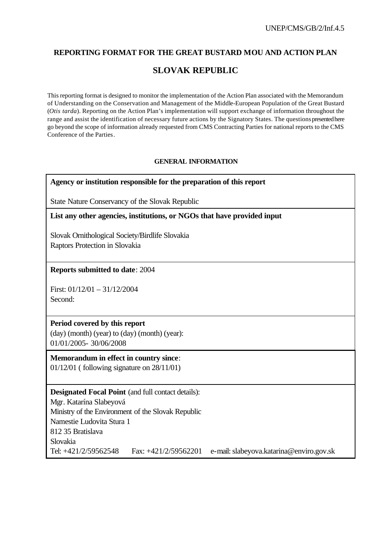## **REPORTING FORMAT FOR THE GREAT BUSTARD MOU AND ACTION PLAN**

# **SLOVAK REPUBLIC**

This reporting format is designed to monitor the implementation of the Action Plan associated with the Memorandum of Understanding on the Conservation and Management of the Middle-European Population of the Great Bustard (*Otis tarda*). Reporting on the Action Plan's implementation will support exchange of information throughout the range and assist the identification of necessary future actions by the Signatory States. The questions presented here go beyond the scope of information already requested from CMS Contracting Parties for national reports to the CMS Conference of the Parties.

## **GENERAL INFORMATION**

| Agency or institution responsible for the preparation of this report    |  |  |
|-------------------------------------------------------------------------|--|--|
|                                                                         |  |  |
| List any other agencies, institutions, or NGOs that have provided input |  |  |
|                                                                         |  |  |
|                                                                         |  |  |
|                                                                         |  |  |
|                                                                         |  |  |
|                                                                         |  |  |
| e-mail: slabeyova.katarina@enviro.gov.sk                                |  |  |
|                                                                         |  |  |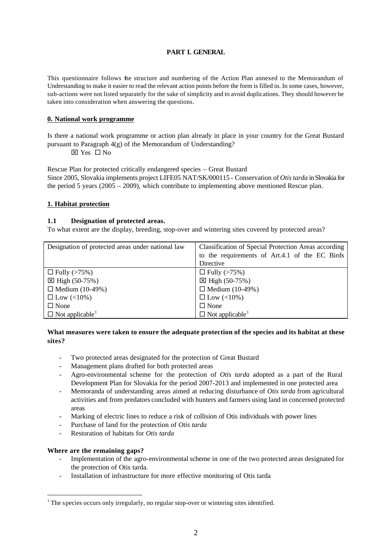## **PART I. GENERAL**

This questionnaire follows the structure and numbering of the Action Plan annexed to the Memorandum of Understanding to make it easier to read the relevant action points before the form is filled in. In some cases, however, sub-actions were not listed separately for the sake of simplicity and to avoid duplications. They should however be taken into consideration when answering the questions.

## **0. National work programme**

Is there a national work programme or action plan already in place in your country for the Great Bustard pursuant to Paragraph 4(g) of the Memorandum of Understanding?

 $\boxtimes$  Yes  $\square$  No

Rescue Plan for protected critically endangered species – Great Bustard Since 2005, Slovakia implements project LIFE05 NAT/SK/000115 - Conservation of *Otis tarda* in Slovakia for the period 5 years (2005 – 2009), which contribute to implementing above mentioned Rescue plan.

## **1. Habitat protection**

### **1.1 Designation of protected areas.**

To what extent are the display, breeding, stop-over and wintering sites covered by protected areas?

| Designation of protected areas under national law | Classification of Special Protection Areas according |
|---------------------------------------------------|------------------------------------------------------|
|                                                   | to the requirements of Art.4.1 of the EC Birds       |
|                                                   | Directive                                            |
| $\Box$ Fully (>75%)                               | $\Box$ Fully (>75%)                                  |
| $\boxtimes$ High (50-75%)                         | $\boxtimes$ High (50-75%)                            |
| $\Box$ Medium (10-49%)                            | $\Box$ Medium (10-49%)                               |
| $\Box$ Low (<10%)                                 | $\Box$ Low (<10%)                                    |
| $\Box$ None                                       | $\Box$ None                                          |
| $\Box$ Not applicable <sup>1</sup>                | $\Box$ Not applicable <sup>1</sup>                   |

## **What measures were taken to ensure the adequate protection of the species and its habitat at these sites?**

- Two protected areas designated for the protection of Great Bustard
- Management plans drafted for both protected areas
- Agro-environmental scheme for the protection of *Otis tarda* adopted as a part of the Rural Development Plan for Slovakia for the period 2007-2013 and implemented in one protected area
- Memoranda of understanding areas aimed at reducing disturbance of *Otis tarda* from agricultural activities and from predators concluded with hunters and farmers using land in concerned protected areas
- Marking of electric lines to reduce a risk of collision of Otis individuals with power lines
- Purchase of land for the protection of *Otis tarda*
- Restoration of habitats for *Otis tarda*

#### **Where are the remaining gaps?**

l

- Implementation of the agro-environmental scheme in one of the two protected areas designated for the protection of Otis tarda.
- Installation of infrastructure for more effective monitoring of Otis tarda

 $1$ <sup>1</sup> The species occurs only irregularly, no regular stop-over or wintering sites identified.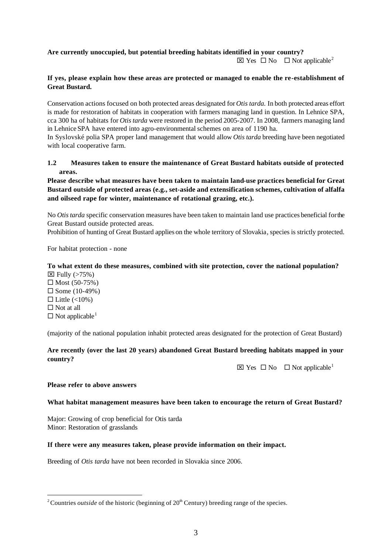## **Are currently unoccupied, but potential breeding habitats identified in your country?**

 $\boxtimes$  Yes  $\Box$  No  $\Box$  Not applicable<sup>2</sup>

## **If yes, please explain how these areas are protected or managed to enable the re-establishment of Great Bustard.**

Conservation actions focused on both protected areas designated for *Otis tarda.* In both protected areas effort is made for restoration of habitats in cooperation with farmers managing land in question. In Lehnice SPA, cca 300 ha of habitats for *Otis tarda* were restored in the period 2005-2007. In 2008, farmers managing land in Lehnice SPA have entered into agro-environmental schemes on area of 1190 ha.

In Syslovské polia SPA proper land management that would allow *Otis tarda* breeding have been negotiated with local cooperative farm.

## **1.2 Measures taken to ensure the maintenance of Great Bustard habitats outside of protected areas.**

**Please describe what measures have been taken to maintain land-use practices beneficial for Great Bustard outside of protected areas (e.g., set-aside and extensification schemes, cultivation of alfalfa and oilseed rape for winter, maintenance of rotational grazing, etc.).**

No *Otis tarda* specific conservation measures have been taken to maintain land use practices beneficial for the Great Bustard outside protected areas.

Prohibition of hunting of Great Bustard applies on the whole territory of Slovakia, species is strictly protected.

For habitat protection - none

#### **To what extent do these measures, combined with site protection, cover the national population?**  $\boxtimes$  Fully ( $>75\%$ )

 $\Box$  Most (50-75%)  $\square$  Some (10-49%)  $\Box$  Little (<10%)  $\Box$  Not at all  $\square$  Not applicable<sup>1</sup>

l

(majority of the national population inhabit protected areas designated for the protection of Great Bustard)

## **Are recently (over the last 20 years) abandoned Great Bustard breeding habitats mapped in your country?**

 $\boxtimes$  Yes  $\Box$  No  $\Box$  Not applicable<sup>1</sup>

#### **Please refer to above answers**

#### **What habitat management measures have been taken to encourage the return of Great Bustard?**

Major: Growing of crop beneficial for Otis tarda Minor: Restoration of grasslands

#### **If there were any measures taken, please provide information on their impact.**

Breeding of *Otis tarda* have not been recorded in Slovakia since 2006.

<sup>&</sup>lt;sup>2</sup> Countries *outside* of the historic (beginning of  $20<sup>th</sup>$  Century) breeding range of the species.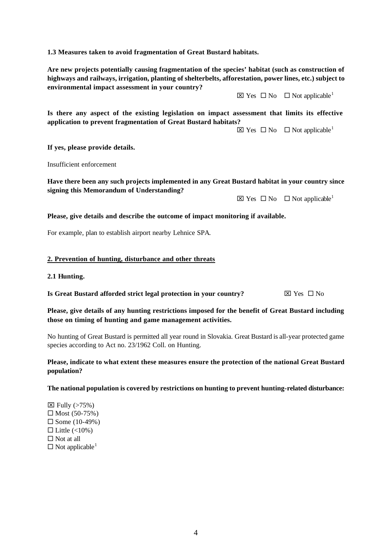**1.3 Measures taken to avoid fragmentation of Great Bustard habitats.**

**Are new projects potentially causing fragmentation of the species' habitat (such as construction of highways and railways, irrigation, planting of shelterbelts, afforestation, power lines, etc.) subject to environmental impact assessment in your country?**

 $\boxtimes$  Yes  $\Box$  No  $\Box$  Not applicable<sup>1</sup>

**Is there any aspect of the existing legislation on impact assessment that limits its effective application to prevent fragmentation of Great Bustard habitats?** 

 $\boxtimes$  Yes  $\Box$  No  $\Box$  Not applicable<sup>1</sup>

**If yes, please provide details.**

Insufficient enforcement

**Have there been any such projects implemented in any Great Bustard habitat in your country since signing this Memorandum of Understanding?** 

 $\boxtimes$  Yes  $\Box$  No  $\Box$  Not applicable<sup>1</sup>

### **Please, give details and describe the outcome of impact monitoring if available.**

For example, plan to establish airport nearby Lehnice SPA.

## **2. Prevention of hunting, disturbance and other threats**

**2.1 Hunting.**

**Is Great Bustard afforded strict legal protection in your country?**  $\boxtimes$  Yes  $\Box$  No

## **Please, give details of any hunting restrictions imposed for the benefit of Great Bustard including those on timing of hunting and game management activities.**

No hunting of Great Bustard is permitted all year round in Slovakia. Great Bustard is all-year protected game species according to Act no. 23/1962 Coll. on Hunting.

## **Please, indicate to what extent these measures ensure the protection of the national Great Bustard population?**

#### **The national population is covered by restrictions on hunting to prevent hunting-related disturbance:**

 $\boxtimes$  Fully ( $>75\%$ )  $\square$  Most (50-75%)  $\square$  Some (10-49%)  $\Box$  Little (<10%)  $\square$  Not at all  $\square$  Not applicable<sup>1</sup>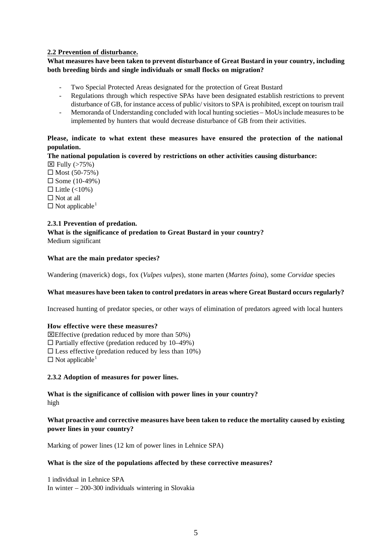## **2.2 Prevention of disturbance.**

## **What measures have been taken to prevent disturbance of Great Bustard in your country, including both breeding birds and single individuals or small flocks on migration?**

- Two Special Protected Areas designated for the protection of Great Bustard
- Regulations through which respective SPAs have been designated establish restrictions to prevent disturbance of GB, for instance access of public/ visitors to SPA is prohibited, except on tourism trail
- Memoranda of Understanding concluded with local hunting societies MoUs include measures to be implemented by hunters that would decrease disturbance of GB from their activities.

## **Please, indicate to what extent these measures have ensured the protection of the national population.**

**The national population is covered by restrictions on other activities causing disturbance:**  $\boxtimes$  Fully ( $>75\%$ )

 $\square$  Most (50-75%)

 $\square$  Some (10-49%)

 $\Box$  Little (<10%)

 $\Box$  Not at all

 $\square$  Not applicable<sup>1</sup>

## **2.3.1 Prevention of predation.**

**What is the significance of predation to Great Bustard in your country?** Medium significant

### **What are the main predator species?**

Wandering (maverick) dogs, fox (*Vulpes vulpes*), stone marten (*Martes foina*), some *Corvidae* species

## **What measures have been taken to control predators in areas where Great Bustard occurs regularly?**

Increased hunting of predator species, or other ways of elimination of predators agreed with local hunters

## **How effective were these measures?**

 $\Xi$ Effective (predation reduced by more than 50%)

 $\Box$  Partially effective (predation reduced by 10–49%)

 $\square$  Less effective (predation reduced by less than 10%)

 $\square$  Not applicable<sup>1</sup>

## **2.3.2 Adoption of measures for power lines.**

**What is the significance of collision with power lines in your country?**  high

## **What proactive and corrective measures have been taken to reduce the mortality caused by existing power lines in your country?**

Marking of power lines (12 km of power lines in Lehnice SPA)

#### **What is the size of the populations affected by these corrective measures?**

1 individual in Lehnice SPA In winter – 200-300 individuals wintering in Slovakia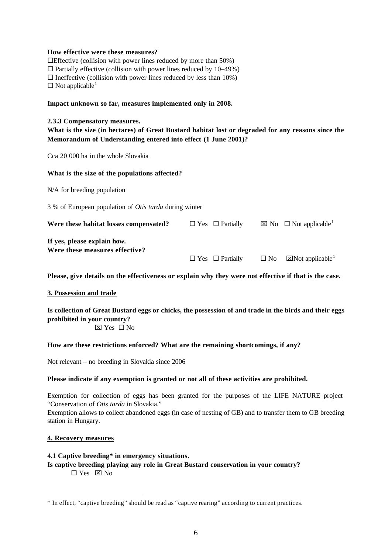#### **How effective were these measures?**

 $\Box$ Effective (collision with power lines reduced by more than 50%)

 $\Box$  Partially effective (collision with power lines reduced by 10–49%)

 $\Box$  Ineffective (collision with power lines reduced by less than 10%)

 $\square$  Not applicable<sup>1</sup>

## **Impact unknown so far, measures implemented only in 2008.**

## **2.3.3 Compensatory measures.**

**What is the size (in hectares) of Great Bustard habitat lost or degraded for any reasons since the Memorandum of Understanding entered into effect (1 June 2001)?**

Cca 20 000 ha in the whole Slovakia

### **What is the size of the populations affected?**

N/A for breeding population

3 % of European population of *Otis tarda* during winter

| Were these habitat losses compensated?                        | $\Box$ Yes $\Box$ Partially | $\boxtimes$ No $\Box$ Not applicable <sup>1</sup> |
|---------------------------------------------------------------|-----------------------------|---------------------------------------------------|
| If yes, please explain how.<br>Were these measures effective? |                             |                                                   |
|                                                               | $\Box$ Yes $\Box$ Partially | $\Box$ No $\Box$ Not applicable <sup>1</sup>      |

## **Please, give details on the effectiveness or explain why they were not effective if that is the case.**

#### **3. Possession and trade**

**Is collection of Great Bustard eggs or chicks, the possession of and trade in the birds and their eggs prohibited in your country?**

 $\boxtimes$  Yes  $\Box$  No

#### **How are these restrictions enforced? What are the remaining shortcomings, if any?**

Not relevant – no breeding in Slovakia since 2006

#### **Please indicate if any exemption is granted or not all of these activities are prohibited.**

Exemption for collection of eggs has been granted for the purposes of the LIFE NATURE project "Conservation of *Otis tarda* in Slovakia."

Exemption allows to collect abandoned eggs (in case of nesting of GB) and to transfer them to GB breeding station in Hungary.

#### **4. Recovery measures**

l

#### **4.1 Captive breeding\* in emergency situations.**

**Is captive breeding playing any role in Great Bustard conservation in your country?**  $\Box$  Yes  $\boxtimes$  No

<sup>\*</sup> In effect, "captive breeding" should be read as "captive rearing" according to current practices.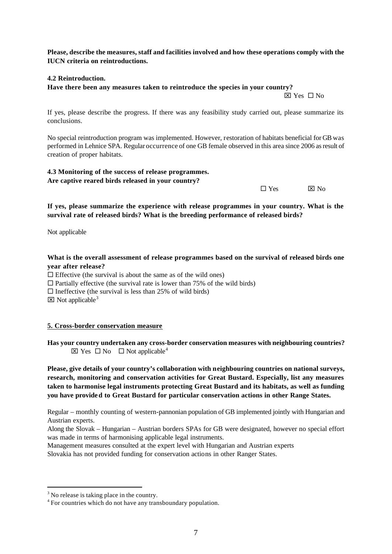**Please, describe the measures, staff and facilities involved and how these operations comply with the IUCN criteria on reintroductions.**

### **4.2 Reintroduction.**

**Have there been any measures taken to reintroduce the species in your country?** 

 $\boxtimes$  Yes  $\Box$  No

If yes, please describe the progress. If there was any feasibility study carried out, please summarize its conclusions.

No special reintroduction program was implemented. However, restoration of habitats beneficial for GB was performed in Lehnice SPA. Regular occurrence of one GB female observed in this area since 2006 as result of creation of proper habitats.

**4.3 Monitoring of the success of release programmes. Are captive reared birds released in your country?** 

| $\square$ Yes |  | $\boxtimes$ No |
|---------------|--|----------------|
|---------------|--|----------------|

**If yes, please summarize the experience with release programmes in your country. What is the survival rate of released birds? What is the breeding performance of released birds?**

Not applicable

**What is the overall assessment of release programmes based on the survival of released birds one year after release?**

 $\Box$  Effective (the survival is about the same as of the wild ones)

 $\Box$  Partially effective (the survival rate is lower than 75% of the wild birds)

 $\Box$  Ineffective (the survival is less than 25% of wild birds)

 $\boxtimes$  Not applicable<sup>3</sup>

#### **5. Cross-border conservation measure**

**Has your country undertaken any cross-border conservation measures with neighbouring countries?**  $\boxtimes$  Yes  $\Box$  No  $\Box$  Not applicable<sup>4</sup>

**Please, give details of your country's collaboration with neighbouring countries on national surveys, research, monitoring and conservation activities for Great Bustard. Especially, list any measures taken to harmonise legal instruments protecting Great Bustard and its habitats, as well as funding you have provided to Great Bustard for particular conservation actions in other Range States.**

Regular – monthly counting of western-pannonian population of GB implemented jointly with Hungarian and Austrian experts.

Along the Slovak – Hungarian – Austrian borders SPAs for GB were designated, however no special effort was made in terms of harmonising applicable legal instruments.

Management measures consulted at the expert level with Hungarian and Austrian experts

Slovakia has not provided funding for conservation actions in other Ranger States.

l

 $3$  No release is taking place in the country.

<sup>&</sup>lt;sup>4</sup> For countries which do not have any transboundary population.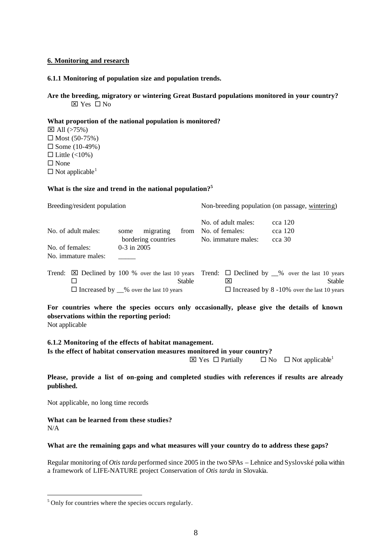### **6. Monitoring and research**

#### **6.1.1 Monitoring of population size and population trends.**

## **Are the breeding, migratory or wintering Great Bustard populations monitored in your country?**  $\boxtimes$  Yes  $\square$  No

### **What proportion of the national population is monitored?**

 $\boxtimes$  All (>75%)  $\Box$  Most (50-75%)  $\square$  Some (10-49%)  $\Box$  Little (<10%)  $\square$  None  $\square$  Not applicable<sup>1</sup>

#### **What is the size and trend in the national population?<sup>5</sup>**

| Breeding/resident population |                     | Non-breeding population (on passage, wintering)   |               |  |                     |                                                                                                              |
|------------------------------|---------------------|---------------------------------------------------|---------------|--|---------------------|--------------------------------------------------------------------------------------------------------------|
|                              |                     |                                                   |               |  | No. of adult males: | cca 120                                                                                                      |
|                              | No. of adult males: | migrating<br>some                                 | from          |  | No. of females:     | $cca$ 120                                                                                                    |
|                              |                     | bordering countries                               |               |  | No. immature males: | cca 30                                                                                                       |
|                              | No. of females:     | $0-3$ in $2005$                                   |               |  |                     |                                                                                                              |
|                              | No. immature males: |                                                   |               |  |                     |                                                                                                              |
| Trend:                       |                     |                                                   |               |  |                     | $\boxtimes$ Declined by 100 % over the last 10 years Trend: $\Box$ Declined by $\_\%$ over the last 10 years |
|                              |                     |                                                   | <b>Stable</b> |  | ⊠                   | Stable                                                                                                       |
|                              |                     | $\Box$ Increased by $\_\%$ over the last 10 years |               |  |                     | $\Box$ Increased by 8 -10% over the last 10 years                                                            |

For countries where the species occurs only occasionally, please give the details of known **observations within the reporting period:** Not applicable

**6.1.2 Monitoring of the effects of habitat management. Is the effect of habitat conservation measures monitored in your country?**  $\boxtimes$  Yes  $\square$  Partially  $\square$  No  $\square$  Not applicable<sup>1</sup>

**Please, provide a list of on-going and completed studies with references if results are already published.**

Not applicable, no long time records

l

**What can be learned from these studies?** N/A

## **What are the remaining gaps and what measures will your country do to address these gaps?**

Regular monitoring of *Otis tarda* performed since 2005 in the two SPAs – Lehnice and Syslovské polia within a framework of LIFE-NATURE project Conservation of *Otis tarda* in Slovakia.

<sup>&</sup>lt;sup>5</sup> Only for countries where the species occurs regularly.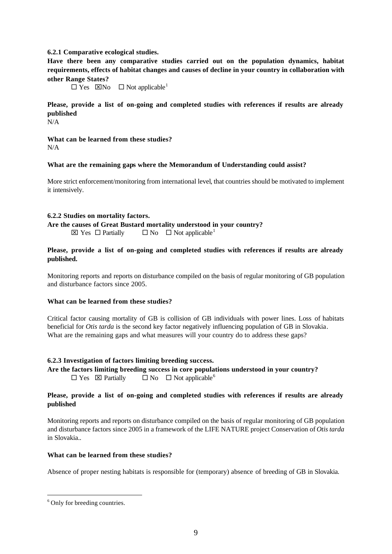#### **6.2.1 Comparative ecological studies.**

**Have there been any comparative studies carried out on the population dynamics, habitat requirements, effects of habitat changes and causes of decline in your country in collaboration with other Range States?** 

 $\square$  Yes  $\square$  Not applicable<sup>1</sup>

**Please, provide a list of on-going and completed studies with references if results are already published**

 $N/A$ 

**What can be learned from these studies?** N/A

#### **What are the remaining gaps where the Memorandum of Understanding could assist?**

More strict enforcement/monitoring from international level, that countries should be motivated to implement it intensively.

#### **6.2.2 Studies on mortality factors.**

**Are the causes of Great Bustard mortality understood in your country?**   $\boxtimes$  Yes  $\Box$  Partially  $\Box$  No  $\Box$  Not applicable<sup>1</sup>

#### **Please, provide a list of on-going and completed studies with references if results are already published.**

Monitoring reports and reports on disturbance compiled on the basis of regular monitoring of GB population and disturbance factors since 2005.

#### **What can be learned from these studies?**

Critical factor causing mortality of GB is collision of GB individuals with power lines. Loss of habitats beneficial for *Otis tarda* is the second key factor negatively influencing population of GB in Slovakia. What are the remaining gaps and what measures will your country do to address these gaps?

#### **6.2.3 Investigation of factors limiting breeding success.**

**Are the factors limiting breeding success in core populations understood in your country?**  $\square$  Yes  $\square$  Partially  $\square$  No  $\square$  Not applicable<sup>6</sup>

#### **Please, provide a list of on-going and completed studies with references if results are already published**

Monitoring reports and reports on disturbance compiled on the basis of regular monitoring of GB population and disturbance factors since 2005 in a framework of the LIFE NATURE project Conservation of *Otis tarda* in Slovakia..

#### **What can be learned from these studies?**

Absence of proper nesting habitats is responsible for (temporary) absence of breeding of GB in Slovakia.

l

<sup>&</sup>lt;sup>6</sup> Only for breeding countries.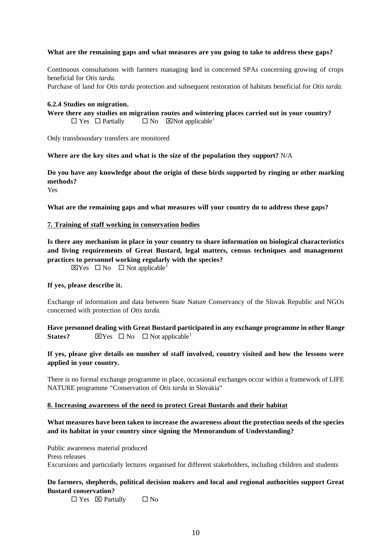### **What are the remaining gaps and what measures are you going to take to address these gaps?**

Continuous consultations with farmers managing land in concerned SPAs concerning growing of crops beneficial for *Otis tarda*. Purchase of land for *Otis tarda* protection and subsequent restoration of habitats beneficial for *Otis tarda.*

#### **6.2.4 Studies on migration.**

**Were there any studies on migration routes and wintering places carried out in your country?**  $\square$  Yes  $\square$  Partially  $\square$  No  $\square$  Not applicable<sup>1</sup>

Only transboundary transfers are monitored

#### **Where are the key sites and what is the size of the population they support?** N/A

**Do you have any knowledge about the origin of these birds supported by ringing or other marking methods?**

Yes

**What are the remaining gaps and what measures will your country do to address these gaps?**

#### **7. Training of staff working in conservation bodies**

**Is there any mechanism in place in your country to share information on biological characteristics and living requirements of Great Bustard, legal matters, census techniques and management practices to personnel working regularly with the species?**

 $\boxtimes$  Yes  $\Box$  No  $\Box$  Not applicable<sup>1</sup>

#### **If yes, please describe it.**

Exchange of information and data between State Nature Conservancy of the Slovak Republic and NGOs concerned with protection of *Otis tarda.*

**Have personnel dealing with Great Bustard participated in any exchange programme in other Range States?**  $\boxtimes$  Yes  $\Box$  No  $\Box$  Not applicable<sup>1</sup>

## **If yes, please give details on number of staff involved, country visited and how the lessons were applied in your country.**

There is no formal exchange programme in place, occasional exchanges occur within a framework of LIFE NATURE programme "Conservation of *Otis tarda* in Slovakia"

#### **8. Increasing awareness of the need to protect Great Bustards and their habitat**

## **What measures have been taken to increase the awareness about the protection needs of the species and its habitat in your country since signing the Memorandum of Understanding?**

Public awareness material produced Press releases Excursions and particularly lectures organised for different stakeholders, including children and students

## **Do farmers, shepherds, political decision makers and local and regional authorities support Great Bustard conservation?**

 $\square$  Yes  $\square$  Partially  $\square$  No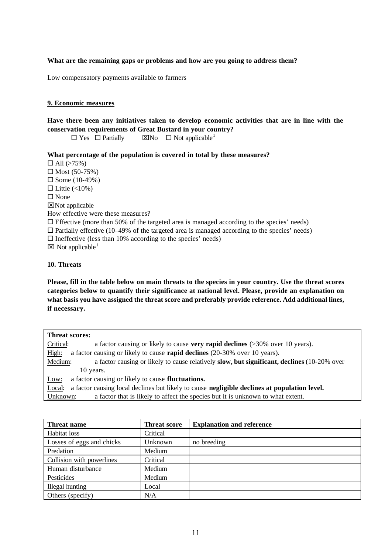## **What are the remaining gaps or problems and how are you going to address them?**

Low compensatory payments available to farmers

#### **9. Economic measures**

**Have there been any initiatives taken to develop economic activities that are in line with the conservation requirements of Great Bustard in your country?**

 $\square$  Yes  $\square$  Partially  $\square$  Not applicable<sup>1</sup>

**What percentage of the population is covered in total by these measures?** 

 $\Box$  All (>75%)  $\Box$  Most (50-75%)  $\square$  Some (10-49%)  $\Box$  Little (<10%)  $\square$  None xNot applicable How effective were these measures?  $\Box$  Effective (more than 50% of the targeted area is managed according to the species' needs)  $\Box$  Partially effective (10–49% of the targeted area is managed according to the species' needs)  $\square$  Ineffective (less than 10% according to the species' needs)  $\boxtimes$  Not applicable<sup>1</sup>

**10. Threats**

**Please, fill in the table below on main threats to the species in your country. Use the threat scores categories below to quantify their significance at national level. Please, provide an explanation on what basis you have assigned the threat score and preferably provide reference. Add additional lines, if necessary.**

| <b>Threat scores:</b> |                                                                                              |
|-----------------------|----------------------------------------------------------------------------------------------|
| Critical:             | a factor causing or likely to cause very rapid declines $($ >30% over 10 years).             |
| High:                 | a factor causing or likely to cause <b>rapid declines</b> (20-30% over 10 years).            |
| Medium:               | a factor causing or likely to cause relatively slow, but significant, declines (10-20% over  |
| 10 years.             |                                                                                              |
| Low:                  | a factor causing or likely to cause fluctuations.                                            |
| Local:                | a factor causing local declines but likely to cause negligible declines at population level. |
| Unknown:              | a factor that is likely to affect the species but it is unknown to what extent.              |

| Threat name               | <b>Threat score</b> | <b>Explanation and reference</b> |
|---------------------------|---------------------|----------------------------------|
| Habitat loss              | Critical            |                                  |
| Losses of eggs and chicks | Unknown             | no breeding                      |
| Predation                 | Medium              |                                  |
| Collision with powerlines | Critical            |                                  |
| Human disturbance         | Medium              |                                  |
| Pesticides                | Medium              |                                  |
| Illegal hunting           | Local               |                                  |
| Others (specify)          | N/A                 |                                  |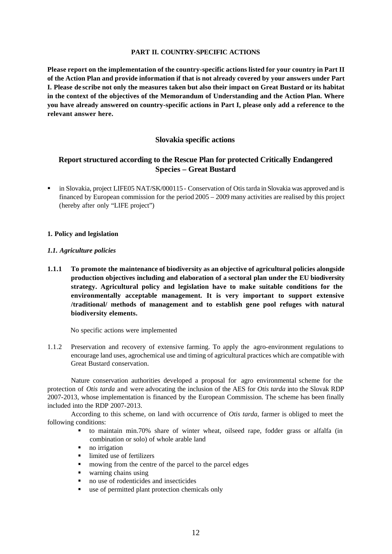### **PART II. COUNTRY-SPECIFIC ACTIONS**

**Please report on the implementation of the country-specific actions listed for your country in Part II of the Action Plan and provide information if that is not already covered by your answers under Part I. Please de scribe not only the measures taken but also their impact on Great Bustard or its habitat in the context of the objectives of the Memorandum of Understanding and the Action Plan. Where you have already answered on country-specific actions in Part I, please only add a reference to the relevant answer here.**

## **Slovakia specific actions**

## **Report structured according to the Rescue Plan for protected Critically Endangered Species – Great Bustard**

ß in Slovakia, project LIFE05 NAT/SK/000115 - Conservation of Otis tarda in Slovakia was approved and is financed by European commission for the period 2005 – 2009 many activities are realised by this project (hereby after only "LIFE project")

### **1. Policy and legislation**

### *1.1. Agriculture policies*

**1.1.1 To promote the maintenance of biodiversity as an objective of agricultural policies alongside production objectives including and elaboration of a sectoral plan under the EU biodiversity strategy. Agricultural policy and legislation have to make suitable conditions for the environmentally acceptable management. It is very important to support extensive /traditional/ methods of management and to establish gene pool refuges with natural biodiversity elements.**

No specific actions were implemented

1.1.2 Preservation and recovery of extensive farming. To apply the agro-environment regulations to encourage land uses, agrochemical use and timing of agricultural practices which are compatible with Great Bustard conservation.

Nature conservation authorities developed a proposal for agro environmental scheme for the protection of *Otis tarda* and were advocating the inclusion of the AES for *Otis tarda* into the Slovak RDP 2007-2013, whose implementation is financed by the European Commission. The scheme has been finally included into the RDP 2007-2013.

According to this scheme, on land with occurrence of *Otis tarda*, farmer is obliged to meet the following conditions:

- ß to maintain min.70% share of winter wheat, oilseed rape, fodder grass or alfalfa (in combination or solo) of whole arable land
- $\blacksquare$  no irrigation
- limited use of fertilizers
- mowing from the centre of the parcel to the parcel edges
- ß warning chains using
- no use of rodenticides and insecticides
- **use of permitted plant protection chemicals only**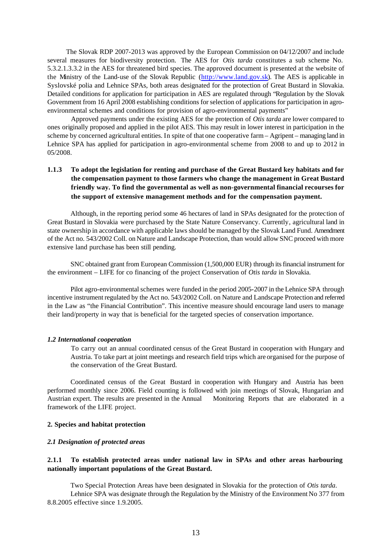The Slovak RDP 2007-2013 was approved by the European Commission on 04/12/2007 and include several measures for biodiversity protection. The AES for *Otis tarda* constitutes a sub scheme No. 5.3.2.1.3.3.2 in the AES for threatened bird species. The approved document is presented at the website of the Ministry of the Land-use of the Slovak Republic (http://www.land.gov.sk). The AES is applicable in Syslovské polia and Lehnice SPAs, both areas designated for the protection of Great Bustard in Slovakia. Detailed conditions for application for participation in AES are regulated through "Regulation by the Slovak Government from 16 April 2008 establishing conditions for selection of applications for participation in agroenvironmental schemes and conditions for provision of agro-environmental payments"

Approved payments under the existing AES for the protection of *Otis tarda* are lower compared to ones originally proposed and applied in the pilot AES. This may result in lower interest in participation in the scheme by concerned agricultural entities. In spite of that one cooperative farm – Agripent – managing land in Lehnice SPA has applied for participation in agro-environmental scheme from 2008 to and up to 2012 in 05/2008.

## **1.1.3 To adopt the legislation for renting and purchase of the Great Bustard key habitats and for the compensation payment to those farmers who change the management in Great Bustard friendly way. To find the governmental as well as non-governmental financial recourses for the support of extensive management methods and for the compensation payment.**

Although, in the reporting period some 46 hectares of land in SPAs designated for the protection of Great Bustard in Slovakia were purchased by the State Nature Conservancy. Currently, agricultural land in state ownership in accordance with applicable laws should be managed by the Slovak Land Fund. Amendment of the Act no. 543/2002 Coll. on Nature and Landscape Protection, than would allow SNC proceed with more extensive land purchase has been still pending.

SNC obtained grant from European Commission (1,500,000 EUR) through its financial instrument for the environment – LIFE for co financing of the project Conservation of *Otis tarda* in Slovakia.

Pilot agro-environmental schemes were funded in the period 2005-2007 in the Lehnice SPA through incentive instrument regulated by the Act no. 543/2002 Coll. on Nature and Landscape Protection and referred in the Law as "the Financial Contribution". This incentive measure should encourage land users to manage their land/property in way that is beneficial for the targeted species of conservation importance.

#### *1.2 International cooperation*

To carry out an annual coordinated census of the Great Bustard in cooperation with Hungary and Austria. To take part at joint meetings and research field trips which are organised for the purpose of the conservation of the Great Bustard.

Coordinated census of the Great Bustard in cooperation with Hungary and Austria has been performed monthly since 2006. Field counting is followed with join meetings of Slovak, Hungarian and Austrian expert. The results are presented in the Annual Monitoring Reports that are elaborated in a framework of the LIFE project.

#### **2. Species and habitat protection**

#### *2.1 Designation of protected areas*

## **2.1.1 To establish protected areas under national law in SPAs and other areas harbouring nationally important populations of the Great Bustard.**

Two Special Protection Areas have been designated in Slovakia for the protection of *Otis tarda*. Lehnice SPA was designate through the Regulation by the Ministry of the Environment No 377 from 8.8.2005 effective since 1.9.2005.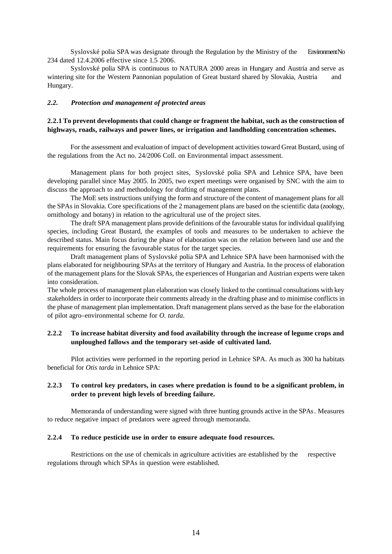Syslovské polia SPA was designate through the Regulation by the Ministry of the Environment No 234 dated 12.4.2006 effective since 1.5 2006.

Syslovské polia SPA is continuous to NATURA 2000 areas in Hungary and Austria and serve as wintering site for the Western Pannonian population of Great bustard shared by Slovakia, Austria and Hungary.

#### *2.2. Protection and management of protected areas*

## **2.2.1 To prevent developments that could change or fragment the habitat, such as the construction of highways, roads, railways and power lines, or irrigation and landholding concentration schemes.**

For the assessment and evaluation of impact of development activities toward Great Bustard, using of the regulations from the Act no. 24/2006 Coll. on Environmental impact assessment.

Management plans for both project sites, Syslovské polia SPA and Lehnice SPA, have been developing parallel since May 2005. In 2005, two expert meetings were organised by SNC with the aim to discuss the approach to and methodology for drafting of management plans.

The MoE sets instructions unifying the form and structure of the content of management plans for all the SPAs in Slovakia. Core specifications of the 2 management plans are based on the scientific data (zoology, ornithology and botany) in relation to the agricultural use of the project sites.

The draft SPA management plans provide definitions of the favourable status for individual qualifying species, including Great Bustard, the examples of tools and measures to be undertaken to achieve the described status. Main focus during the phase of elaboration was on the relation between land use and the requirements for ensuring the favourable status for the target species.

Draft management plans of Syslovské polia SPA and Lehnice SPA have been harmonised with the plans elaborated for neighbouring SPAs at the territory of Hungary and Austria. In the process of elaboration of the management plans for the Slovak SPAs, the experiences of Hungarian and Austrian experts were taken into consideration.

The whole process of management plan elaboration was closely linked to the continual consultations with key stakeholders in order to incorporate their comments already in the drafting phase and to minimise conflicts in the phase of management plan implementation. Draft management plans served as the base for the elaboration of pilot agro–environmental scheme for *O. tarda*.

## **2.2.2 To increase habitat diversity and food availability through the increase of legume crops and unploughed fallows and the temporary set-aside of cultivated land.**

Pilot activities were performed in the reporting period in Lehnice SPA. As much as 300 ha habitats beneficial for *Otis tarda* in Lehnice SPA:

## **2.2.3 To control key predators, in cases where predation is found to be a significant problem, in order to prevent high levels of breeding failure.**

Memoranda of understanding were signed with three hunting grounds active in the SPAs. Measures to reduce negative impact of predators were agreed through memoranda.

#### **2.2.4 To reduce pesticide use in order to ensure adequate food resources.**

Restrictions on the use of chemicals in agriculture activities are established by the respective regulations through which SPAs in question were established.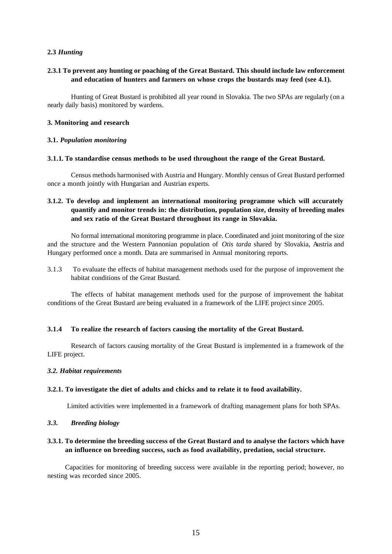## **2.3** *Hunting*

## **2.3.1 To prevent any hunting or poaching of the Great Bustard. This should include law enforcement and education of hunters and farmers on whose crops the bustards may feed (see 4.1).**

Hunting of Great Bustard is prohibited all year round in Slovakia. The two SPAs are regularly (on a nearly daily basis) monitored by wardens.

## **3. Monitoring and research**

### **3.1.** *Population monitoring*

### **3.1.1. To standardise census methods to be used throughout the range of the Great Bustard.**

Census methods harmonised with Austria and Hungary. Monthly census of Great Bustard performed once a month jointly with Hungarian and Austrian experts.

## **3.1.2. To develop and implement an international monitoring programme which will accurately quantify and monitor trends in: the distribution, population size, density of breeding males and sex ratio of the Great Bustard throughout its range in Slovakia.**

No formal international monitoring programme in place. Coordinated and joint monitoring of the size and the structure and the Western Pannonian population of *Otis tarda* shared by Slovakia, Austria and Hungary performed once a month. Data are summarised in Annual monitoring reports.

3.1.3 To evaluate the effects of habitat management methods used for the purpose of improvement the habitat conditions of the Great Bustard.

The effects of habitat management methods used for the purpose of improvement the habitat conditions of the Great Bustard are being evaluated in a framework of the LIFE project since 2005.

#### **3.1.4 To realize the research of factors causing the mortality of the Great Bustard.**

Research of factors causing mortality of the Great Bustard is implemented in a framework of the LIFE project.

#### *3.2. Habitat requirements*

### **3.2.1. To investigate the diet of adults and chicks and to relate it to food availability.**

Limited activities were implemented in a framework of drafting management plans for both SPAs.

#### *3.3. Breeding biology*

## **3.3.1. To determine the breeding success of the Great Bustard and to analyse the factors which have an influence on breeding success, such as food availability, predation, social structure.**

Capacities for monitoring of breeding success were available in the reporting period; however, no nesting was recorded since 2005.